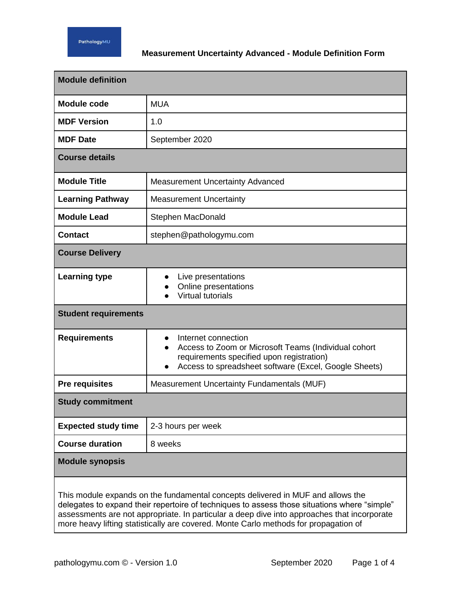

## **Measurement Uncertainty Advanced - Module Definition Form**

| <b>Module definition</b>                                                                                                                                                                                                                                                       |                                                                                                                                                                                   |  |
|--------------------------------------------------------------------------------------------------------------------------------------------------------------------------------------------------------------------------------------------------------------------------------|-----------------------------------------------------------------------------------------------------------------------------------------------------------------------------------|--|
| <b>Module code</b>                                                                                                                                                                                                                                                             | <b>MUA</b>                                                                                                                                                                        |  |
| <b>MDF Version</b>                                                                                                                                                                                                                                                             | 1.0                                                                                                                                                                               |  |
| <b>MDF</b> Date                                                                                                                                                                                                                                                                | September 2020                                                                                                                                                                    |  |
| <b>Course details</b>                                                                                                                                                                                                                                                          |                                                                                                                                                                                   |  |
| <b>Module Title</b>                                                                                                                                                                                                                                                            | <b>Measurement Uncertainty Advanced</b>                                                                                                                                           |  |
| <b>Learning Pathway</b>                                                                                                                                                                                                                                                        | <b>Measurement Uncertainty</b>                                                                                                                                                    |  |
| <b>Module Lead</b>                                                                                                                                                                                                                                                             | Stephen MacDonald                                                                                                                                                                 |  |
| <b>Contact</b>                                                                                                                                                                                                                                                                 | stephen@pathologymu.com                                                                                                                                                           |  |
| <b>Course Delivery</b>                                                                                                                                                                                                                                                         |                                                                                                                                                                                   |  |
| <b>Learning type</b>                                                                                                                                                                                                                                                           | Live presentations<br>Online presentations<br><b>Virtual tutorials</b>                                                                                                            |  |
| <b>Student requirements</b>                                                                                                                                                                                                                                                    |                                                                                                                                                                                   |  |
| <b>Requirements</b>                                                                                                                                                                                                                                                            | Internet connection<br>Access to Zoom or Microsoft Teams (Individual cohort<br>requirements specified upon registration)<br>Access to spreadsheet software (Excel, Google Sheets) |  |
| <b>Pre requisites</b>                                                                                                                                                                                                                                                          | Measurement Uncertainty Fundamentals (MUF)                                                                                                                                        |  |
| <b>Study commitment</b>                                                                                                                                                                                                                                                        |                                                                                                                                                                                   |  |
| <b>Expected study time</b>                                                                                                                                                                                                                                                     | 2-3 hours per week                                                                                                                                                                |  |
| <b>Course duration</b>                                                                                                                                                                                                                                                         | 8 weeks                                                                                                                                                                           |  |
| <b>Module synopsis</b>                                                                                                                                                                                                                                                         |                                                                                                                                                                                   |  |
| This module expands on the fundamental concepts delivered in MUF and allows the<br>delegates to expand their repertoire of techniques to assess those situations where "simple"<br>assessments are not appropriate. In particular a deep dive into approaches that incorporate |                                                                                                                                                                                   |  |

more heavy lifting statistically are covered. Monte Carlo methods for propagation of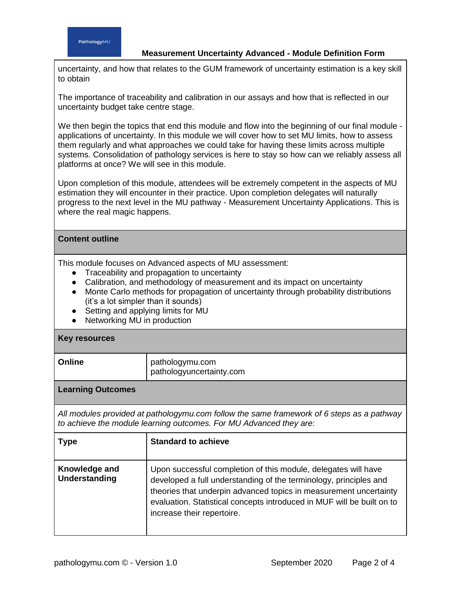## **Measurement Uncertainty Advanced - Module Definition Form**

uncertainty, and how that relates to the GUM framework of uncertainty estimation is a key skill to obtain

The importance of traceability and calibration in our assays and how that is reflected in our uncertainty budget take centre stage.

We then begin the topics that end this module and flow into the beginning of our final module applications of uncertainty. In this module we will cover how to set MU limits, how to assess them regularly and what approaches we could take for having these limits across multiple systems. Consolidation of pathology services is here to stay so how can we reliably assess all platforms at once? We will see in this module.

Upon completion of this module, attendees will be extremely competent in the aspects of MU estimation they will encounter in their practice. Upon completion delegates will naturally progress to the next level in the MU pathway - Measurement Uncertainty Applications. This is where the real magic happens.

## **Content outline**

This module focuses on Advanced aspects of MU assessment:

- Traceability and propagation to uncertainty
- Calibration, and methodology of measurement and its impact on uncertainty
- Monte Carlo methods for propagation of uncertainty through probability distributions (it's a lot simpler than it sounds)
- Setting and applying limits for MU
- Networking MU in production

## **Key resources**

| Online | pathologymu.com<br>pathologyuncertainty.com |
|--------|---------------------------------------------|
|        |                                             |

**Learning Outcomes**

*All modules provided at pathologymu.com follow the same framework of 6 steps as a pathway to achieve the module learning outcomes. For MU Advanced they are:*

| <b>Type</b>                    | <b>Standard to achieve</b>                                                                                                                                                                                                                                                                                       |
|--------------------------------|------------------------------------------------------------------------------------------------------------------------------------------------------------------------------------------------------------------------------------------------------------------------------------------------------------------|
| Knowledge and<br>Understanding | Upon successful completion of this module, delegates will have<br>developed a full understanding of the terminology, principles and<br>theories that underpin advanced topics in measurement uncertainty<br>evaluation. Statistical concepts introduced in MUF will be built on to<br>increase their repertoire. |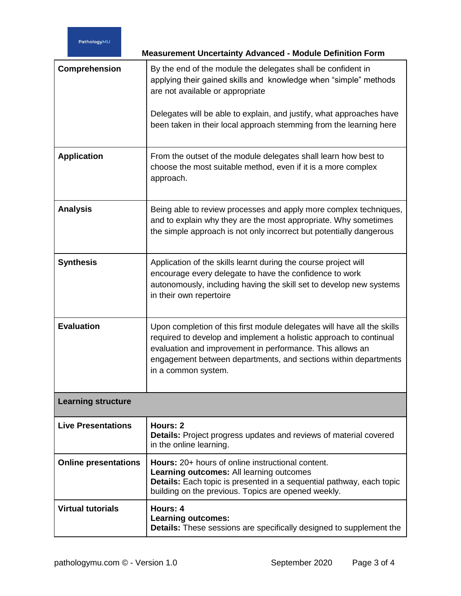|                             | <b>Measurement Uncertainty Advanced - Module Definition Form</b>                                                                                                                                                                                                                                     |  |
|-----------------------------|------------------------------------------------------------------------------------------------------------------------------------------------------------------------------------------------------------------------------------------------------------------------------------------------------|--|
| Comprehension               | By the end of the module the delegates shall be confident in<br>applying their gained skills and knowledge when "simple" methods<br>are not available or appropriate                                                                                                                                 |  |
|                             | Delegates will be able to explain, and justify, what approaches have<br>been taken in their local approach stemming from the learning here                                                                                                                                                           |  |
| <b>Application</b>          | From the outset of the module delegates shall learn how best to<br>choose the most suitable method, even if it is a more complex<br>approach.                                                                                                                                                        |  |
| <b>Analysis</b>             | Being able to review processes and apply more complex techniques,<br>and to explain why they are the most appropriate. Why sometimes<br>the simple approach is not only incorrect but potentially dangerous                                                                                          |  |
| <b>Synthesis</b>            | Application of the skills learnt during the course project will<br>encourage every delegate to have the confidence to work<br>autonomously, including having the skill set to develop new systems<br>in their own repertoire                                                                         |  |
| <b>Evaluation</b>           | Upon completion of this first module delegates will have all the skills<br>required to develop and implement a holistic approach to continual<br>evaluation and improvement in performance. This allows an<br>engagement between departments, and sections within departments<br>in a common system. |  |
| <b>Learning structure</b>   |                                                                                                                                                                                                                                                                                                      |  |
| <b>Live Presentations</b>   | Hours: 2<br><b>Details:</b> Project progress updates and reviews of material covered<br>in the online learning.                                                                                                                                                                                      |  |
| <b>Online presentations</b> | <b>Hours:</b> 20+ hours of online instructional content.<br><b>Learning outcomes: All learning outcomes</b><br>Details: Each topic is presented in a sequential pathway, each topic<br>building on the previous. Topics are opened weekly.                                                           |  |
| <b>Virtual tutorials</b>    | Hours: 4<br><b>Learning outcomes:</b><br>Details: These sessions are specifically designed to supplement the                                                                                                                                                                                         |  |